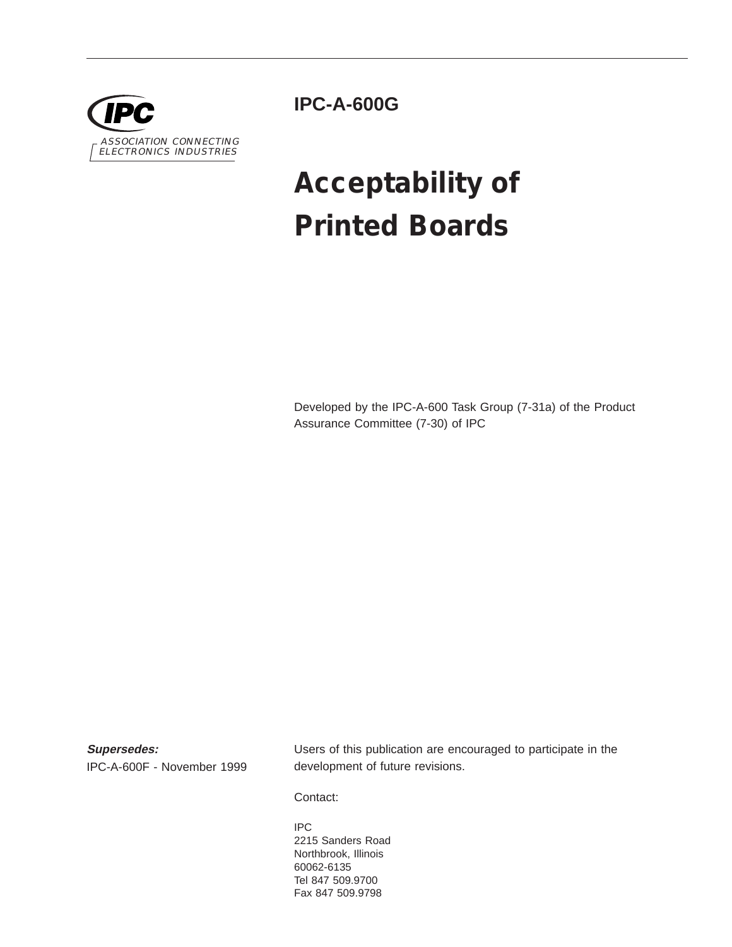

**IPC-A-600G**

# **Acceptability of Printed Boards**

Developed by the IPC-A-600 Task Group (7-31a) of the Product Assurance Committee (7-30) of IPC

**Supersedes:**

IPC-A-600F - November 1999

Users of this publication are encouraged to participate in the development of future revisions.

Contact:

IPC 2215 Sanders Road Northbrook, Illinois 60062-6135 Tel 847 509.9700 Fax 847 509.9798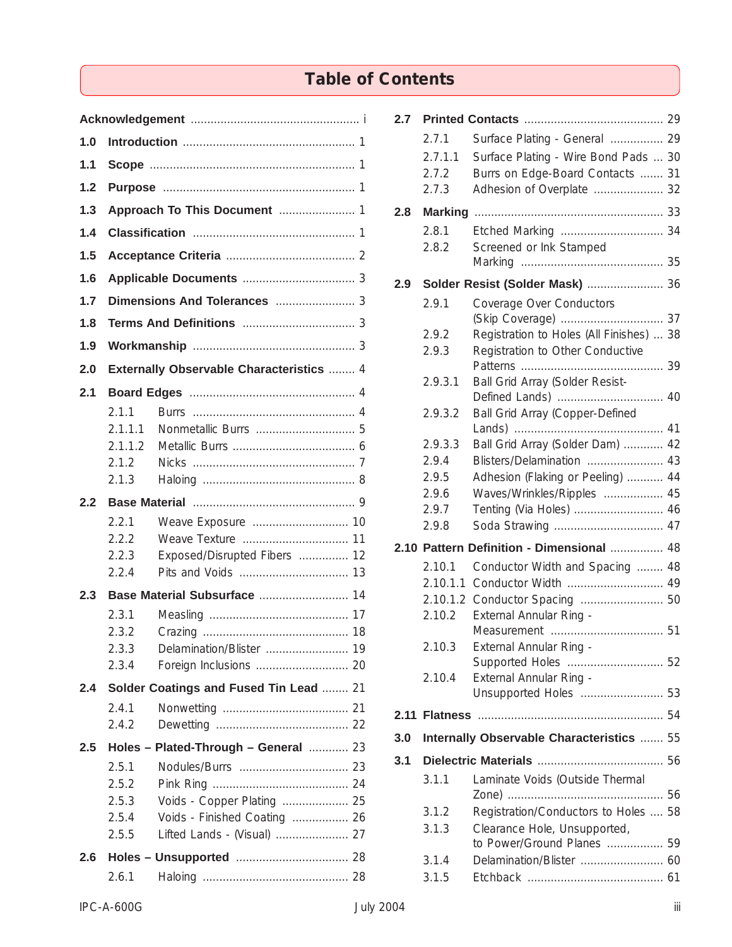## **Table of Contents**

| 1.0 |                  |                                                 |  |  |
|-----|------------------|-------------------------------------------------|--|--|
| 1.1 |                  |                                                 |  |  |
| 1.2 |                  |                                                 |  |  |
| 1.3 |                  |                                                 |  |  |
| 1.4 |                  |                                                 |  |  |
| 1.5 |                  |                                                 |  |  |
| 1.6 |                  |                                                 |  |  |
| 1.7 |                  |                                                 |  |  |
| 1.8 |                  |                                                 |  |  |
| 1.9 |                  |                                                 |  |  |
| 2.0 |                  | <b>Externally Observable Characteristics  4</b> |  |  |
| 2.1 |                  |                                                 |  |  |
|     | 2.1.1            |                                                 |  |  |
|     | 2.1.1.1          |                                                 |  |  |
|     | 2.1.1.2<br>2.1.2 |                                                 |  |  |
|     | 2.1.3            |                                                 |  |  |
| 2.2 |                  |                                                 |  |  |
|     | 2.2.1            |                                                 |  |  |
|     | 2.2.2            |                                                 |  |  |
|     | 2.2.3<br>2.2.4   | Exposed/Disrupted Fibers  12                    |  |  |
| 2.3 |                  |                                                 |  |  |
|     | 2.3.1            |                                                 |  |  |
|     | 2.3.2            |                                                 |  |  |
|     | 2.3.3            | Delamination/Blister  19                        |  |  |
|     | 2.3.4            |                                                 |  |  |
| 2.4 |                  | Solder Coatings and Fused Tin Lead  21          |  |  |
|     | 2.4.1            |                                                 |  |  |
|     | 2.4.2            |                                                 |  |  |
| 2.5 |                  | Holes - Plated-Through - General  23            |  |  |
|     | 2.5.1<br>2.5.2   |                                                 |  |  |
|     | 2.5.3            | Voids - Copper Plating  25                      |  |  |
|     | 2.5.4            | Voids - Finished Coating  26                    |  |  |
|     | 2.5.5            | Lifted Lands - (Visual)  27                     |  |  |
| 2.6 |                  |                                                 |  |  |
|     | 2.6.1            |                                                 |  |  |

| 2.7 |                      |                                                        |    |
|-----|----------------------|--------------------------------------------------------|----|
|     | 2.7.1                | Surface Plating - General  29                          |    |
|     | 2.7.1.1              | Surface Plating - Wire Bond Pads  30                   |    |
|     | 2.7.2                | Burrs on Edge-Board Contacts  31                       |    |
|     | 2.7.3                | Adhesion of Overplate  32                              |    |
| 2.8 | <b>Marking</b>       |                                                        |    |
|     | 2.8.1                |                                                        |    |
|     | 2.8.2                | Screened or Ink Stamped                                |    |
|     |                      |                                                        |    |
| 2.9 |                      | Solder Resist (Solder Mask)  36                        |    |
|     | 2.9.1                | Coverage Over Conductors                               |    |
|     |                      |                                                        |    |
|     | 2.9.2                | Registration to Holes (All Finishes)  38               |    |
|     | 2.9.3                | Registration to Other Conductive                       |    |
|     | 2.9.3.1              | Ball Grid Array (Solder Resist-                        |    |
|     |                      |                                                        |    |
|     | 2.9.3.2              | Ball Grid Array (Copper-Defined                        |    |
|     |                      |                                                        | 41 |
|     | 2.9.3.3              | Ball Grid Array (Solder Dam)  42                       |    |
|     | 2.9.4                | Blisters/Delamination  43                              |    |
|     | 2.9.5                | Adhesion (Flaking or Peeling)  44                      |    |
|     | 2.9.6                | Waves/Wrinkles/Ripples  45                             |    |
|     | 2.9.7<br>2.9.8       | Tenting (Via Holes)  46                                |    |
|     |                      |                                                        |    |
|     |                      | 2.10 Pattern Definition - Dimensional  48              |    |
|     | 2.10.1               | Conductor Width and Spacing  48<br>Conductor Width  49 |    |
|     | 2.10.1.1<br>2.10.1.2 |                                                        |    |
|     | 2.10.2               | External Annular Ring -                                |    |
|     |                      |                                                        |    |
|     | 2.10.3               | External Annular Ring -                                |    |
|     |                      |                                                        |    |
|     | 2.10.4               | External Annular Ring -                                |    |
|     |                      |                                                        |    |
|     |                      |                                                        | 54 |
| 3.0 |                      | Internally Observable Characteristics  55              |    |
| 3.1 |                      |                                                        |    |
|     | 3.1.1                | Laminate Voids (Outside Thermal                        |    |
|     | 3.1.2                | Registration/Conductors to Holes  58                   |    |
|     | 3.1.3                | Clearance Hole, Unsupported,                           |    |
|     |                      | to Power/Ground Planes  59                             |    |
|     | 3.1.4                |                                                        |    |
|     | 3.1.5                |                                                        |    |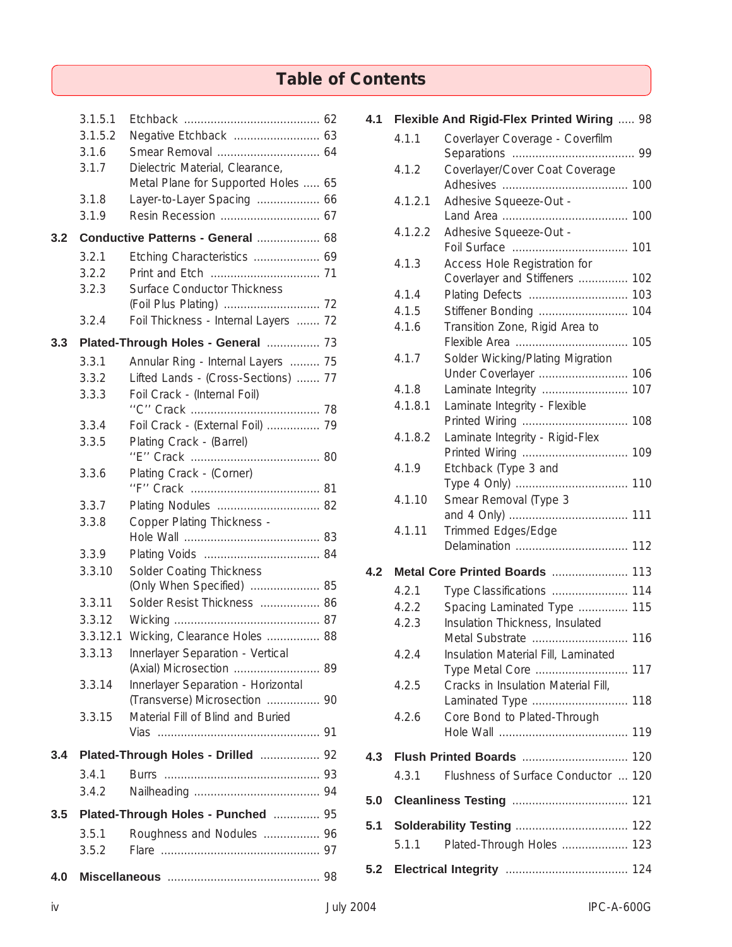## **Table of Contents**

|     | 3.1.5.1<br>3.1.5.2 |                                                                     |  |
|-----|--------------------|---------------------------------------------------------------------|--|
|     | 3.1.6              |                                                                     |  |
|     | 3.1.7              | Dielectric Material, Clearance,                                     |  |
|     |                    | Metal Plane for Supported Holes  65                                 |  |
|     | 3.1.8              | Layer-to-Layer Spacing  66                                          |  |
|     | 3.1.9              |                                                                     |  |
| 3.2 |                    | Conductive Patterns - General  68                                   |  |
|     | 3.2.1              | Etching Characteristics  69                                         |  |
|     | 3.2.2              |                                                                     |  |
|     | 3.2.3              | <b>Surface Conductor Thickness</b>                                  |  |
|     | 3.2.4              | Foil Thickness - Internal Layers  72                                |  |
| 3.3 |                    | Plated-Through Holes - General  73                                  |  |
|     | 3.3.1              | Annular Ring - Internal Layers  75                                  |  |
|     | 3.3.2              | Lifted Lands - (Cross-Sections)  77                                 |  |
|     | 3.3.3              | Foil Crack - (Internal Foil)                                        |  |
|     |                    |                                                                     |  |
|     | 3.3.4              | Foil Crack - (External Foil)  79                                    |  |
|     | 3.3.5              | Plating Crack - (Barrel)                                            |  |
|     | 3.3.6              | Plating Crack - (Corner)                                            |  |
|     | 3.3.7              | Plating Nodules  82                                                 |  |
|     | 3.3.8              | Copper Plating Thickness -                                          |  |
|     |                    |                                                                     |  |
|     | 3.3.9              |                                                                     |  |
|     | 3.3.10             | Solder Coating Thickness<br>(Only When Specified)  85               |  |
|     | 3.3.11             | Solder Resist Thickness  86                                         |  |
|     | 3.3.12             |                                                                     |  |
|     | 3.3.12.1           | Wicking, Clearance Holes  88                                        |  |
|     | 3.3.13             | Innerlayer Separation - Vertical                                    |  |
|     |                    | (Axial) Microsection  89                                            |  |
|     | 3.3.14             | Innerlayer Separation - Horizontal<br>(Transverse) Microsection  90 |  |
|     | 3.3.15             | Material Fill of Blind and Buried                                   |  |
|     |                    |                                                                     |  |
| 3.4 |                    | Plated-Through Holes - Drilled  92                                  |  |
|     | 3.4.1              |                                                                     |  |
|     | 3.4.2              |                                                                     |  |
| 3.5 |                    | Plated-Through Holes - Punched  95                                  |  |
|     | 3.5.1              | Roughness and Nodules  96                                           |  |
|     | 3.5.2              |                                                                     |  |
| 4.0 |                    |                                                                     |  |

| 4.1 |         | Flexible And Rigid-Flex Printed Wiring  98             |
|-----|---------|--------------------------------------------------------|
|     | 4.1.1   | Coverlayer Coverage - Coverfilm                        |
|     | 4.1.2   | Coverlayer/Cover Coat Coverage                         |
|     |         |                                                        |
|     | 4.1.2.1 | Adhesive Squeeze-Out -                                 |
|     |         |                                                        |
|     | 4.1.2.2 | Adhesive Squeeze-Out -                                 |
|     | 4.1.3   | Access Hole Registration for                           |
|     |         | Coverlayer and Stiffeners  102                         |
|     | 4.1.4   |                                                        |
|     | 4.1.5   | Stiffener Bonding  104                                 |
|     | 4.1.6   | Transition Zone, Rigid Area to                         |
|     | 4.1.7   | 105<br>Solder Wicking/Plating Migration                |
|     |         | Under Coverlayer  106                                  |
|     | 4.1.8   | Laminate Integrity  107                                |
|     | 4.1.8.1 | Laminate Integrity - Flexible                          |
|     |         |                                                        |
|     | 4.1.8.2 | Laminate Integrity - Rigid-Flex                        |
|     | 4.1.9   | Etchback (Type 3 and                                   |
|     |         |                                                        |
|     | 4.1.10  | Smear Removal (Type 3                                  |
|     |         |                                                        |
|     | 4.1.11  | Trimmed Edges/Edge                                     |
|     |         |                                                        |
| 4.2 |         |                                                        |
|     | 4.2.1   | Type Classifications  114                              |
|     | 4.2.2   | Spacing Laminated Type  115                            |
|     | 4.2.3   | Insulation Thickness, Insulated<br>116                 |
|     | 4.2.4   | Metal Substrate<br>Insulation Material Fill, Laminated |
|     |         |                                                        |
|     | 4.2.5   | Cracks in Insulation Material Fill,                    |
|     |         |                                                        |
|     | 4.2.6   | Core Bond to Plated-Through                            |
|     |         |                                                        |
| 4.3 |         |                                                        |
|     | 4.3.1   | Flushness of Surface Conductor  120                    |
| 5.0 |         |                                                        |
| 5.1 |         |                                                        |
|     | 5.1.1   | Plated-Through Holes  123                              |
| 5.2 |         |                                                        |
|     |         |                                                        |